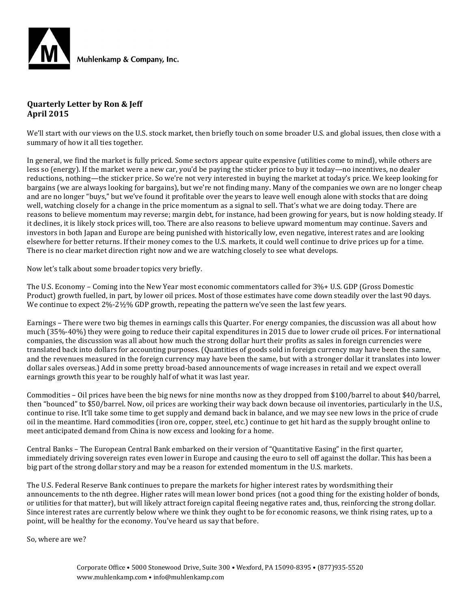

## **Quarterly Letter by Ron & Jeff April 2015**

We'll start with our views on the U.S. stock market, then briefly touch on some broader U.S. and global issues, then close with a summary of how it all ties together.

In general, we find the market is fully priced. Some sectors appear quite expensive (utilities come to mind), while others are less so (energy). If the market were a new car, you'd be paying the sticker price to buy it today—no incentives, no dealer reductions, nothing—the sticker price. So we're not very interested in buying the market at today's price. We keep looking for bargains (we are always looking for bargains), but we're not finding many. Many of the companies we own are no longer cheap and are no longer "buys," but we've found it profitable over the years to leave well enough alone with stocks that are doing well, watching closely for a change in the price momentum as a signal to sell. That's what we are doing today. There are reasons to believe momentum may reverse; margin debt, for instance, had been growing for years, but is now holding steady. If it declines, it is likely stock prices will, too. There are also reasons to believe upward momentum may continue. Savers and investors in both Japan and Europe are being punished with historically low, even negative, interest rates and are looking elsewhere for better returns. If their money comes to the U.S. markets, it could well continue to drive prices up for a time. There is no clear market direction right now and we are watching closely to see what develops.

Now let's talk about some broader topics very briefly.

The U.S. Economy – Coming into the New Year most economic commentators called for 3%+ U.S. GDP (Gross Domestic Product) growth fuelled, in part, by lower oil prices. Most of those estimates have come down steadily over the last 90 days. We continue to expect 2%-2½% GDP growth, repeating the pattern we've seen the last few years.

Earnings – There were two big themes in earnings calls this Quarter. For energy companies, the discussion was all about how much (35%-40%) they were going to reduce their capital expenditures in 2015 due to lower crude oil prices. For international companies, the discussion was all about how much the strong dollar hurt their profits as sales in foreign currencies were translated back into dollars for accounting purposes. (Quantities of goods sold in foreign currency may have been the same, and the revenues measured in the foreign currency may have been the same, but with a stronger dollar it translates into lower dollar sales overseas.) Add in some pretty broad-based announcements of wage increases in retail and we expect overall earnings growth this year to be roughly half of what it was last year.

Commodities – Oil prices have been the big news for nine months now as they dropped from \$100/barrel to about \$40/barrel, then "bounced" to \$50/barrel. Now, oil prices are working their way back down because oil inventories, particularly in the U.S., continue to rise. It'll take some time to get supply and demand back in balance, and we may see new lows in the price of crude oil in the meantime. Hard commodities (iron ore, copper, steel, etc.) continue to get hit hard as the supply brought online to meet anticipated demand from China is now excess and looking for a home.

Central Banks – The European Central Bank embarked on their version of "Quantitative Easing" in the first quarter, immediately driving sovereign rates even lower in Europe and causing the euro to sell off against the dollar. This has been a big part of the strong dollar story and may be a reason for extended momentum in the U.S. markets.

The U.S. Federal Reserve Bank continues to prepare the markets for higher interest rates by wordsmithing their announcements to the nth degree. Higher rates will mean lower bond prices (not a good thing for the existing holder of bonds, or utilities for that matter), but will likely attract foreign capital fleeing negative rates and, thus, reinforcing the strong dollar. Since interest rates are currently below where we think they ought to be for economic reasons, we think rising rates, up to a point, will be healthy for the economy. You've heard us say that before.

So, where are we?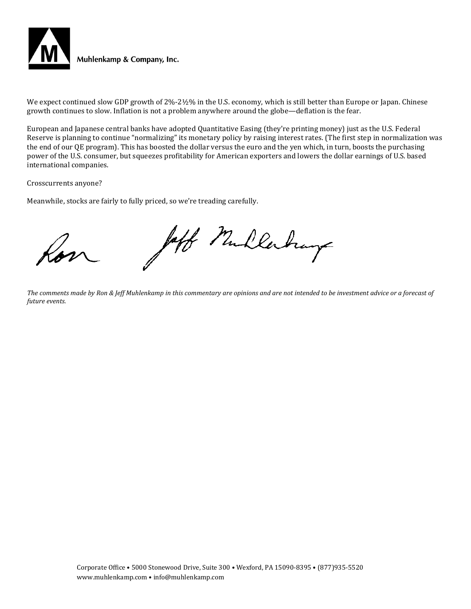

We expect continued slow GDP growth of 2%-2½% in the U.S. economy, which is still better than Europe or Japan. Chinese growth continues to slow. Inflation is not a problem anywhere around the globe—deflation is the fear.

European and Japanese central banks have adopted Quantitative Easing (they're printing money) just as the U.S. Federal Reserve is planning to continue "normalizing" its monetary policy by raising interest rates. (The first step in normalization was the end of our QE program). This has boosted the dollar versus the euro and the yen which, in turn, boosts the purchasing power of the U.S. consumer, but squeezes profitability for American exporters and lowers the dollar earnings of U.S. based international companies.

Crosscurrents anyone?

Meanwhile, stocks are fairly to fully priced, so we're treading carefully.

Jeff Mullerhay

*The comments made by Ron & Jeff Muhlenkamp in this commentary are opinions and are not intended to be investment advice or a forecast of future events.*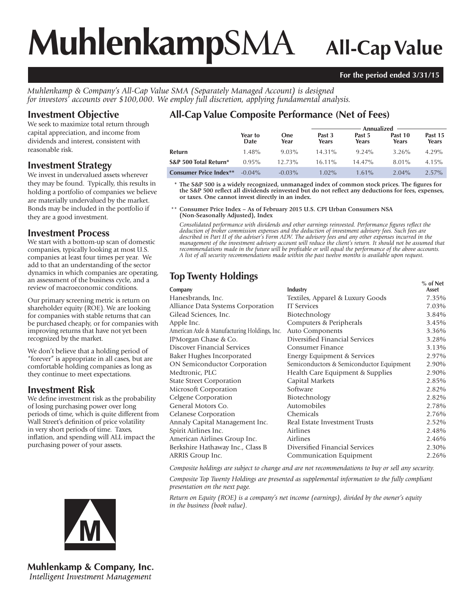# **Muhlenkamp**SMA **All-Cap Value**

#### **For the period ended 3/31/15**

*Muhlenkamp & Company's All-Cap Value SMA (Separately Managed Account) is designed for investors' accounts over \$100,000. We employ full discretion, applying fundamental analysis.*

# **Investment Objective**

We seek to maximize total return through capital appreciation, and income from dividends and interest, consistent with reasonable risk.

## **Investment Strategy**

We invest in undervalued assets wherever they may be found. Typically, this results in holding a portfolio of companies we believe are materially undervalued by the market. Bonds may be included in the portfolio if they are a good investment.

## **Investment Process**

We start with a bottom-up scan of domestic companies, typically looking at most U.S. companies at least four times per year. We add to that an understanding of the sector dynamics in which companies are operating, an assessment of the business cycle, and a review of macroeconomic conditions.

Our primary screening metric is return on shareholder equity (ROE). We are looking for companies with stable returns that can be purchased cheaply, or for companies with improving returns that have not yet been recognized by the market.

We don't believe that a holding period of "forever" is appropriate in all cases, but are comfortable holding companies as long as they continue to meet expectations.

# **Investment Risk**

We define investment risk as the probability of losing purchasing power over long periods of time, which is quite different from Wall Street's definition of price volatility in very short periods of time. Taxes, inflation, and spending will ALL impact the purchasing power of your assets.

# **All-Cap Value Composite Performance (Net of Fees)**

|                               |                 |                    | Annualized      |                 |                  |                  |  |
|-------------------------------|-----------------|--------------------|-----------------|-----------------|------------------|------------------|--|
|                               | Year to<br>Date | <b>One</b><br>Year | Past 3<br>Years | Past 5<br>Years | Past 10<br>Years | Past 15<br>Years |  |
| Refurn                        | 1.48%           | 9.03%              | $14.31\%$       | $9.24\%$        | 3.26%            | 4.29%            |  |
| S&P 500 Total Return*         | 0.95%           | 12.73%             | $16.11\%$       | $14.47\%$       | 8.01%            | 4.15%            |  |
| <b>Consumer Price Index**</b> | $-0.04\%$       | $-0.03\%$          | $1.02\%$        | $1.61\%$        | $2.04\%$         | $2.57\%$         |  |

 **\* The S&P 500 is a widely recognized, unmanaged index of common stock prices. The figures for the S&P 500 reflect all dividends reinvested but do not reflect any deductions for fees, expenses, or taxes. One cannot invest directly in an index.**

 \*\* **Consumer Price Index – As of February 2015 U.S. CPI Urban Consumers NSA (Non-Seasonally Adjusted), Index**

*Consolidated performance with dividends and other earnings reinvested. Performance figures reflect the deduction of broker commission expenses and the deduction of investment advisory fees. Such fees are described in Part II of the adviser's Form ADV. The advisory fees and any other expenses incurred in the management of the investment advisory account will reduce the client's return. It should not be assumed that recommendations made in the future will be profitable or will equal the performance of the above accounts. A list of all security recommendations made within the past twelve months is available upon request.*

# **Top Twenty Holdings Security 1999**

| Company                                      | Industry                                 | % of Net<br>Asset |
|----------------------------------------------|------------------------------------------|-------------------|
| Hanesbrands, Inc.                            | Textiles, Apparel & Luxury Goods         | 7.35%             |
| Alliance Data Systems Corporation            | <b>IT</b> Services                       | 7.03%             |
| Gilead Sciences, Inc.                        | Biotechnology                            | 3.84%             |
| Apple Inc.                                   | Computers & Peripherals                  | 3.45%             |
| American Axle & Manufacturing Holdings, Inc. | Auto Components                          | 3.36%             |
| JPMorgan Chase & Co.                         | Diversified Financial Services           | 3.28%             |
| Discover Financial Services                  | Consumer Finance                         | 3.13%             |
| Baker Hughes Incorporated                    | Energy Equipment & Services              | 2.97%             |
| <b>ON Semiconductor Corporation</b>          | Semiconductors & Semiconductor Equipment | 2.90%             |
| Medtronic, PLC                               | Health Care Equipment & Supplies         | 2.90%             |
| <b>State Street Corporation</b>              | Capital Markets                          | 2.85%             |
| Microsoft Corporation                        | Software                                 | 2.82%             |
| Celgene Corporation                          | Biotechnology                            | 2.82%             |
| General Motors Co.                           | Automobiles                              | 2.78%             |
| <b>Celanese Corporation</b>                  | Chemicals                                | 2.76%             |
| Annaly Capital Management Inc.               | Real Estate Investment Trusts            | 2.52%             |
| Spirit Airlines Inc.                         | Airlines                                 | 2.48%             |
| American Airlines Group Inc.                 | Airlines                                 | 2.46%             |
| Berkshire Hathaway Inc., Class B             | Diversified Financial Services           | 2.30%             |
| ARRIS Group Inc.                             | Communication Equipment                  | 2.26%             |
|                                              |                                          |                   |

*Composite holdings are subject to change and are not recommendations to buy or sell any security.*

*Composite Top Twenty Holdings are presented as supplemental information to the fully compliant presentation on the next page.*

*Return on Equity (ROE) is a company's net income (earnings), divided by the owner's equity in the business (book value).*



**Muhlenkamp & Company, Inc.** Intelligent Investment Management